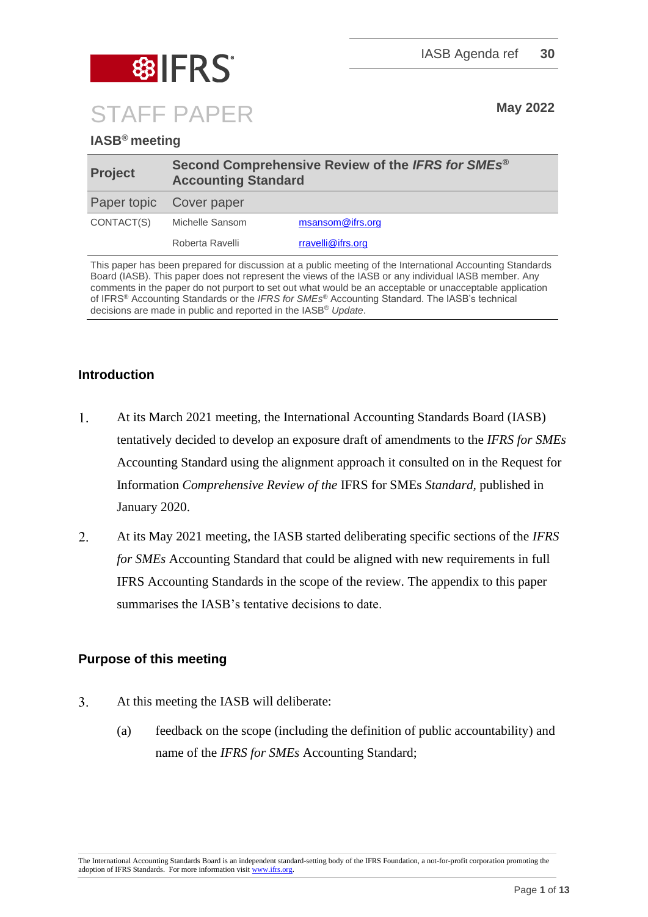

## **IASB® meeting**

| <b>Project</b>          | Second Comprehensive Review of the IFRS for SMEs <sup>®</sup><br><b>Accounting Standard</b> |                   |  |
|-------------------------|---------------------------------------------------------------------------------------------|-------------------|--|
| Paper topic Cover paper |                                                                                             |                   |  |
| CONTACT(S)              | Michelle Sansom                                                                             | msansom@ifrs.org  |  |
|                         | Roberta Ravelli                                                                             | rravelli@ifrs.org |  |

This paper has been prepared for discussion at a public meeting of the International Accounting Standards Board (IASB). This paper does not represent the views of the IASB or any individual IASB member. Any comments in the paper do not purport to set out what would be an acceptable or unacceptable application of IFRS® Accounting Standards or the *IFRS for SMEs*® Accounting Standard. The IASB's technical decisions are made in public and reported in the IASB® *Update*.

## **Introduction**

- $1<sub>1</sub>$ At its March 2021 meeting, the International Accounting Standards Board (IASB) tentatively decided to develop an exposure draft of amendments to the *IFRS for SMEs* Accounting Standard using the alignment approach it consulted on in the Request for Information *Comprehensive Review of the* IFRS for SMEs *Standard,* published in January 2020.
- $2.$ At its May 2021 meeting, the IASB started deliberating specific sections of the *IFRS for SMEs* Accounting Standard that could be aligned with new requirements in full IFRS Accounting Standards in the scope of the review. The appendix to this paper summarises the IASB's tentative decisions to date.

### **Purpose of this meeting**

- $\overline{3}$ . At this meeting the IASB will deliberate:
	- (a) feedback on the scope (including the definition of public accountability) and name of the *IFRS for SMEs* Accounting Standard;

The International Accounting Standards Board is an independent standard-setting body of the IFRS Foundation, a not-for-profit corporation promoting the adoption of IFRS Standards. For more information visi[t www.ifrs.org.](http://www.ifrs.org/)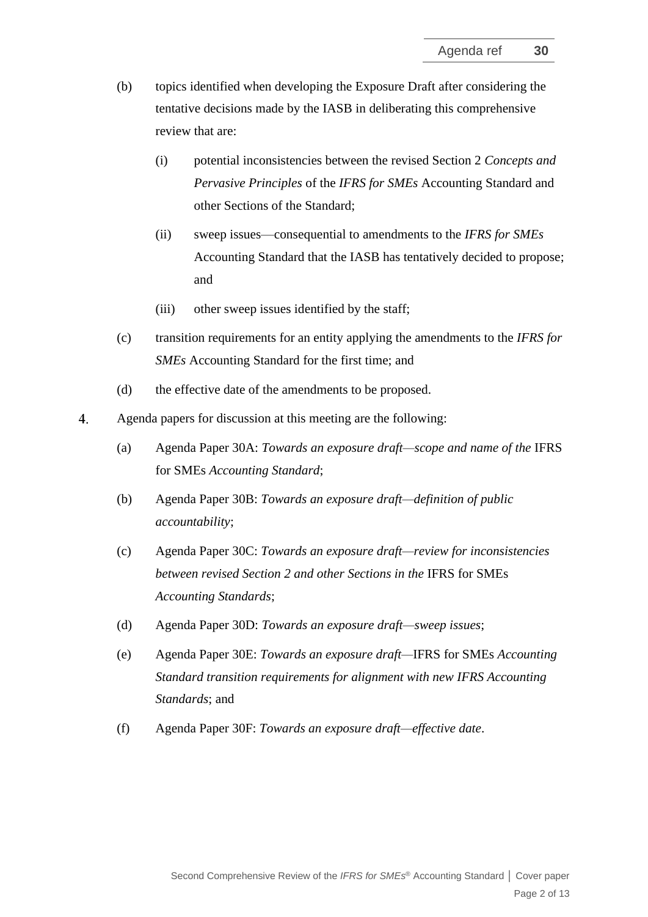- (b) topics identified when developing the Exposure Draft after considering the tentative decisions made by the IASB in deliberating this comprehensive review that are:
	- (i) potential inconsistencies between the revised Section 2 *Concepts and Pervasive Principles* of the *IFRS for SMEs* Accounting Standard and other Sections of the Standard;
	- (ii) sweep issues—consequential to amendments to the *IFRS for SMEs* Accounting Standard that the IASB has tentatively decided to propose; and
	- (iii) other sweep issues identified by the staff;
- (c) transition requirements for an entity applying the amendments to the *IFRS for SMEs* Accounting Standard for the first time; and
- (d) the effective date of the amendments to be proposed.
- $\overline{4}$ . Agenda papers for discussion at this meeting are the following:
	- (a) Agenda Paper 30A: *Towards an exposure draft—scope and name of the* IFRS for SMEs *Accounting Standard*;
	- (b) Agenda Paper 30B: *Towards an exposure draft—definition of public accountability*;
	- (c) Agenda Paper 30C: *Towards an exposure draft—review for inconsistencies between revised Section 2 and other Sections in the* IFRS for SMEs *Accounting Standards*;
	- (d) Agenda Paper 30D: *Towards an exposure draft—sweep issues*;
	- (e) Agenda Paper 30E: *Towards an exposure draft—*IFRS for SMEs *Accounting Standard transition requirements for alignment with new IFRS Accounting Standards*; and
	- (f) Agenda Paper 30F: *Towards an exposure draft—effective date*.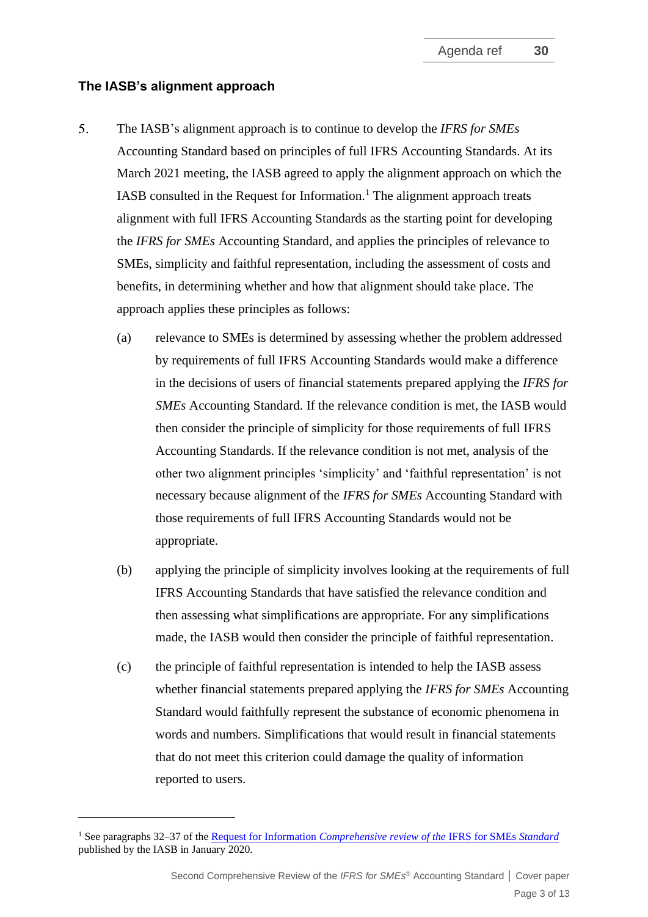#### **The IASB's alignment approach**

- $5<sub>1</sub>$ The IASB's alignment approach is to continue to develop the *IFRS for SMEs* Accounting Standard based on principles of full IFRS Accounting Standards. At its March 2021 meeting, the IASB agreed to apply the alignment approach on which the IASB consulted in the Request for Information.<sup>1</sup> The alignment approach treats alignment with full IFRS Accounting Standards as the starting point for developing the *IFRS for SMEs* Accounting Standard, and applies the principles of relevance to SMEs, simplicity and faithful representation, including the assessment of costs and benefits, in determining whether and how that alignment should take place. The approach applies these principles as follows:
	- (a) relevance to SMEs is determined by assessing whether the problem addressed by requirements of full IFRS Accounting Standards would make a difference in the decisions of users of financial statements prepared applying the *IFRS for SMEs* Accounting Standard. If the relevance condition is met, the IASB would then consider the principle of simplicity for those requirements of full IFRS Accounting Standards. If the relevance condition is not met, analysis of the other two alignment principles 'simplicity' and 'faithful representation' is not necessary because alignment of the *IFRS for SMEs* Accounting Standard with those requirements of full IFRS Accounting Standards would not be appropriate.
	- (b) applying the principle of simplicity involves looking at the requirements of full IFRS Accounting Standards that have satisfied the relevance condition and then assessing what simplifications are appropriate. For any simplifications made, the IASB would then consider the principle of faithful representation.
	- (c) the principle of faithful representation is intended to help the IASB assess whether financial statements prepared applying the *IFRS for SMEs* Accounting Standard would faithfully represent the substance of economic phenomena in words and numbers. Simplifications that would result in financial statements that do not meet this criterion could damage the quality of information reported to users.

<sup>1</sup> See paragraphs 32–37 of the Request for Information *[Comprehensive review of the](https://www.ifrs.org/content/dam/ifrs/project/2019-comprehensive-review-of-the-ifrs-for-smes-standard/request-for-information-comprehensive-review-of-the-ifrs-for-smes-standard.pdf)* IFRS for SMEs *Standard* published by the IASB in January 2020*.*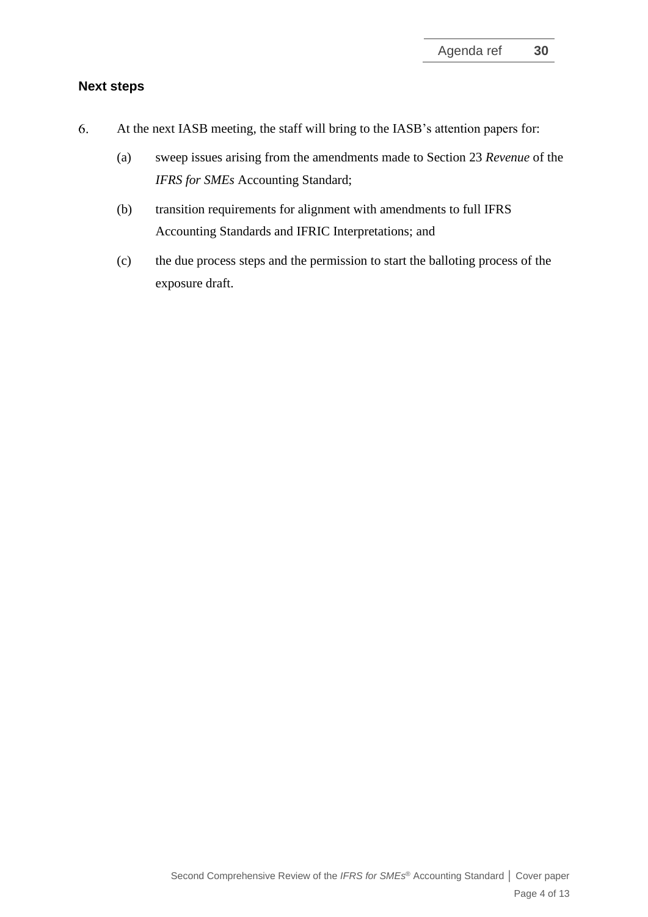### **Next steps**

- 6. At the next IASB meeting, the staff will bring to the IASB's attention papers for:
	- (a) sweep issues arising from the amendments made to Section 23 *Revenue* of the *IFRS for SMEs* Accounting Standard;
	- (b) transition requirements for alignment with amendments to full IFRS Accounting Standards and IFRIC Interpretations; and
	- (c) the due process steps and the permission to start the balloting process of the exposure draft.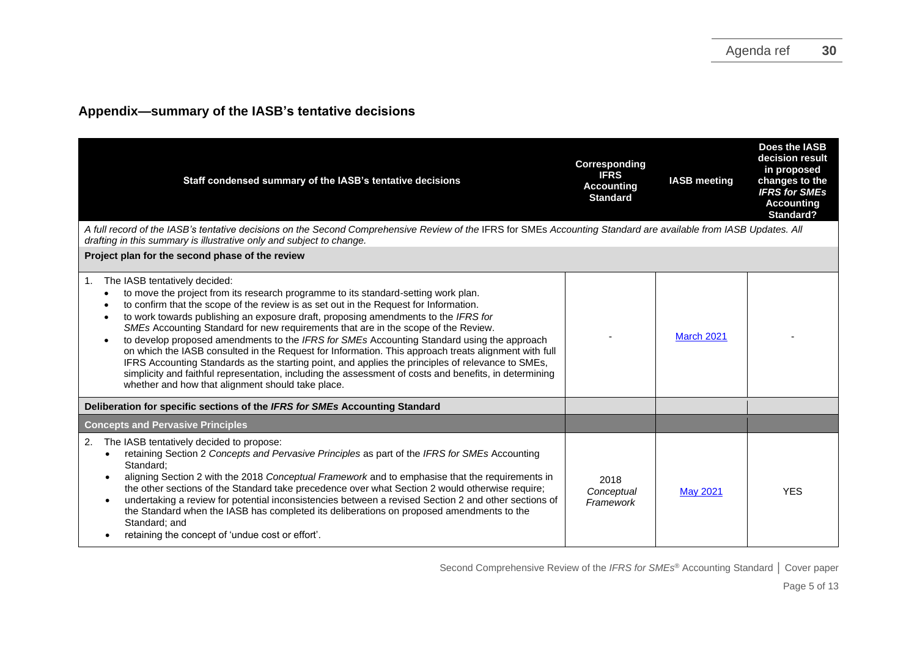## **Appendix—summary of the IASB's tentative decisions**

| Staff condensed summary of the IASB's tentative decisions                                                                                                                                                                                                                                                                                                                                                                                                                                                                                                                                                                                                                                                                                                                                                                                                                                          | Corresponding<br><b>IFRS</b><br><b>Accounting</b><br><b>Standard</b> | <b>IASB</b> meeting | Does the IASB<br>decision result<br>in proposed<br>changes to the<br><b>IFRS for SMEs</b><br><b>Accounting</b><br>Standard? |
|----------------------------------------------------------------------------------------------------------------------------------------------------------------------------------------------------------------------------------------------------------------------------------------------------------------------------------------------------------------------------------------------------------------------------------------------------------------------------------------------------------------------------------------------------------------------------------------------------------------------------------------------------------------------------------------------------------------------------------------------------------------------------------------------------------------------------------------------------------------------------------------------------|----------------------------------------------------------------------|---------------------|-----------------------------------------------------------------------------------------------------------------------------|
| A full record of the IASB's tentative decisions on the Second Comprehensive Review of the IFRS for SMEs Accounting Standard are available from IASB Updates. All<br>drafting in this summary is illustrative only and subject to change.                                                                                                                                                                                                                                                                                                                                                                                                                                                                                                                                                                                                                                                           |                                                                      |                     |                                                                                                                             |
| Project plan for the second phase of the review                                                                                                                                                                                                                                                                                                                                                                                                                                                                                                                                                                                                                                                                                                                                                                                                                                                    |                                                                      |                     |                                                                                                                             |
| The IASB tentatively decided:<br>1.<br>to move the project from its research programme to its standard-setting work plan.<br>to confirm that the scope of the review is as set out in the Request for Information.<br>to work towards publishing an exposure draft, proposing amendments to the IFRS for<br>$\bullet$<br>SMEs Accounting Standard for new requirements that are in the scope of the Review.<br>to develop proposed amendments to the IFRS for SMEs Accounting Standard using the approach<br>$\bullet$<br>on which the IASB consulted in the Request for Information. This approach treats alignment with full<br>IFRS Accounting Standards as the starting point, and applies the principles of relevance to SMEs,<br>simplicity and faithful representation, including the assessment of costs and benefits, in determining<br>whether and how that alignment should take place. |                                                                      | March 2021          |                                                                                                                             |
| Deliberation for specific sections of the IFRS for SMEs Accounting Standard                                                                                                                                                                                                                                                                                                                                                                                                                                                                                                                                                                                                                                                                                                                                                                                                                        |                                                                      |                     |                                                                                                                             |
| <b>Concepts and Pervasive Principles</b>                                                                                                                                                                                                                                                                                                                                                                                                                                                                                                                                                                                                                                                                                                                                                                                                                                                           |                                                                      |                     |                                                                                                                             |
| The IASB tentatively decided to propose:<br>2.<br>retaining Section 2 Concepts and Pervasive Principles as part of the IFRS for SMEs Accounting<br>Standard:<br>aligning Section 2 with the 2018 Conceptual Framework and to emphasise that the requirements in<br>the other sections of the Standard take precedence over what Section 2 would otherwise require;<br>undertaking a review for potential inconsistencies between a revised Section 2 and other sections of<br>the Standard when the IASB has completed its deliberations on proposed amendments to the<br>Standard: and<br>retaining the concept of 'undue cost or effort'.                                                                                                                                                                                                                                                        | 2018<br>Conceptual<br>Framework                                      | <b>May 2021</b>     | <b>YES</b>                                                                                                                  |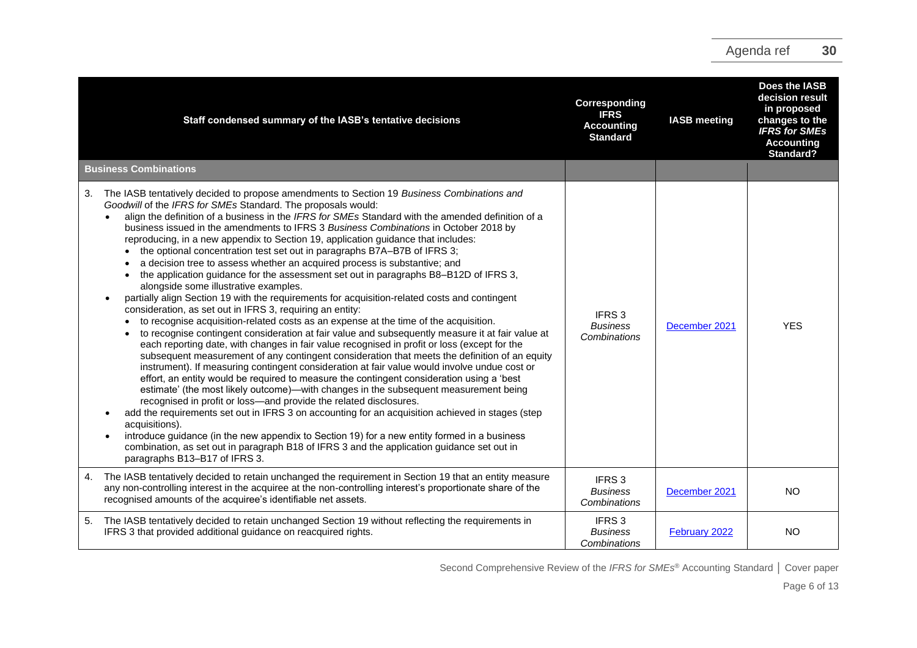| Staff condensed summary of the IASB's tentative decisions                                                                                                                                                                                                                                                                                                                                                                                                                                                                                                                                                                                                                                                                                                                                                                                                                                                                                                                                                                                                                                                                                                                                                                                                                                                                                                                                                                                                                                                                                                                                                                                                                                                                                                                                                                                                                                                                                                                                                              | Corresponding<br><b>IFRS</b><br><b>Accounting</b><br><b>Standard</b> | <b>IASB meeting</b> | Does the IASB<br>decision result<br>in proposed<br>changes to the<br><b>IFRS</b> for SMEs<br><b>Accounting</b><br><b>Standard?</b> |
|------------------------------------------------------------------------------------------------------------------------------------------------------------------------------------------------------------------------------------------------------------------------------------------------------------------------------------------------------------------------------------------------------------------------------------------------------------------------------------------------------------------------------------------------------------------------------------------------------------------------------------------------------------------------------------------------------------------------------------------------------------------------------------------------------------------------------------------------------------------------------------------------------------------------------------------------------------------------------------------------------------------------------------------------------------------------------------------------------------------------------------------------------------------------------------------------------------------------------------------------------------------------------------------------------------------------------------------------------------------------------------------------------------------------------------------------------------------------------------------------------------------------------------------------------------------------------------------------------------------------------------------------------------------------------------------------------------------------------------------------------------------------------------------------------------------------------------------------------------------------------------------------------------------------------------------------------------------------------------------------------------------------|----------------------------------------------------------------------|---------------------|------------------------------------------------------------------------------------------------------------------------------------|
| <b>Business Combinations</b>                                                                                                                                                                                                                                                                                                                                                                                                                                                                                                                                                                                                                                                                                                                                                                                                                                                                                                                                                                                                                                                                                                                                                                                                                                                                                                                                                                                                                                                                                                                                                                                                                                                                                                                                                                                                                                                                                                                                                                                           |                                                                      |                     |                                                                                                                                    |
| The IASB tentatively decided to propose amendments to Section 19 Business Combinations and<br>3.<br>Goodwill of the IFRS for SMEs Standard. The proposals would:<br>align the definition of a business in the IFRS for SMEs Standard with the amended definition of a<br>business issued in the amendments to IFRS 3 Business Combinations in October 2018 by<br>reproducing, in a new appendix to Section 19, application guidance that includes:<br>the optional concentration test set out in paragraphs B7A-B7B of IFRS 3;<br>a decision tree to assess whether an acquired process is substantive; and<br>the application guidance for the assessment set out in paragraphs B8-B12D of IFRS 3,<br>alongside some illustrative examples.<br>partially align Section 19 with the requirements for acquisition-related costs and contingent<br>consideration, as set out in IFRS 3, requiring an entity:<br>to recognise acquisition-related costs as an expense at the time of the acquisition.<br>to recognise contingent consideration at fair value and subsequently measure it at fair value at<br>each reporting date, with changes in fair value recognised in profit or loss (except for the<br>subsequent measurement of any contingent consideration that meets the definition of an equity<br>instrument). If measuring contingent consideration at fair value would involve undue cost or<br>effort, an entity would be required to measure the contingent consideration using a 'best<br>estimate' (the most likely outcome)—with changes in the subsequent measurement being<br>recognised in profit or loss-and provide the related disclosures.<br>add the requirements set out in IFRS 3 on accounting for an acquisition achieved in stages (step<br>acquisitions).<br>introduce guidance (in the new appendix to Section 19) for a new entity formed in a business<br>combination, as set out in paragraph B18 of IFRS 3 and the application guidance set out in<br>paragraphs B13-B17 of IFRS 3. | IFRS <sub>3</sub><br><b>Business</b><br>Combinations                 | December 2021       | <b>YES</b>                                                                                                                         |
| The IASB tentatively decided to retain unchanged the requirement in Section 19 that an entity measure<br>4.<br>any non-controlling interest in the acquiree at the non-controlling interest's proportionate share of the<br>recognised amounts of the acquiree's identifiable net assets.                                                                                                                                                                                                                                                                                                                                                                                                                                                                                                                                                                                                                                                                                                                                                                                                                                                                                                                                                                                                                                                                                                                                                                                                                                                                                                                                                                                                                                                                                                                                                                                                                                                                                                                              | IFRS <sub>3</sub><br><b>Business</b><br>Combinations                 | December 2021       | <b>NO</b>                                                                                                                          |
| The IASB tentatively decided to retain unchanged Section 19 without reflecting the requirements in<br>5.<br>IFRS 3 that provided additional guidance on reacquired rights.                                                                                                                                                                                                                                                                                                                                                                                                                                                                                                                                                                                                                                                                                                                                                                                                                                                                                                                                                                                                                                                                                                                                                                                                                                                                                                                                                                                                                                                                                                                                                                                                                                                                                                                                                                                                                                             | IFRS <sub>3</sub><br><b>Business</b><br>Combinations                 | February 2022       | <b>NO</b>                                                                                                                          |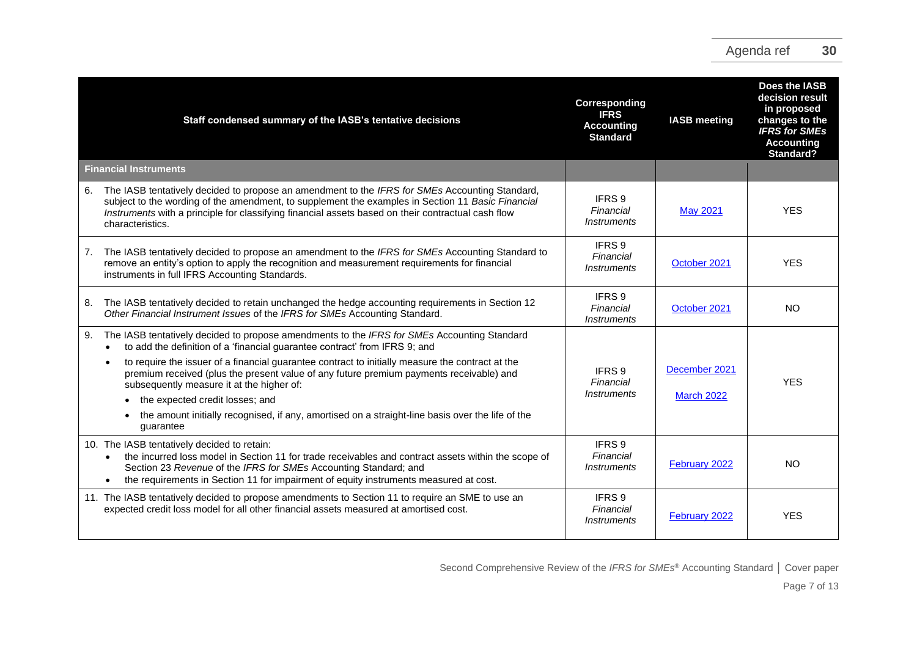|    | Staff condensed summary of the IASB's tentative decisions                                                                                                                                                                                                                                                                     | Corresponding<br><b>IFRS</b><br><b>Accounting</b><br><b>Standard</b> | <b>IASB</b> meeting                | Does the IASB<br>decision result<br>in proposed<br>changes to the<br><b>IFRS for SMEs</b><br><b>Accounting</b><br>Standard? |
|----|-------------------------------------------------------------------------------------------------------------------------------------------------------------------------------------------------------------------------------------------------------------------------------------------------------------------------------|----------------------------------------------------------------------|------------------------------------|-----------------------------------------------------------------------------------------------------------------------------|
|    | <b>Financial Instruments</b>                                                                                                                                                                                                                                                                                                  |                                                                      |                                    |                                                                                                                             |
| 6. | The IASB tentatively decided to propose an amendment to the IFRS for SMEs Accounting Standard,<br>subject to the wording of the amendment, to supplement the examples in Section 11 Basic Financial<br>Instruments with a principle for classifying financial assets based on their contractual cash flow<br>characteristics. | IFRS 9<br>Financial<br><i>Instruments</i>                            | <b>May 2021</b>                    | <b>YES</b>                                                                                                                  |
| 7. | The IASB tentatively decided to propose an amendment to the IFRS for SMEs Accounting Standard to<br>remove an entity's option to apply the recognition and measurement requirements for financial<br>instruments in full IFRS Accounting Standards.                                                                           | IFRS 9<br>Financial<br><i>Instruments</i>                            | October 2021                       | <b>YES</b>                                                                                                                  |
| 8. | The IASB tentatively decided to retain unchanged the hedge accounting requirements in Section 12<br>Other Financial Instrument Issues of the IFRS for SMEs Accounting Standard.                                                                                                                                               | IFRS 9<br>Financial<br><i><b>Instruments</b></i>                     | October 2021                       | <b>NO</b>                                                                                                                   |
| 9. | The IASB tentatively decided to propose amendments to the IFRS for SMEs Accounting Standard<br>to add the definition of a 'financial guarantee contract' from IFRS 9; and                                                                                                                                                     |                                                                      |                                    |                                                                                                                             |
|    | to require the issuer of a financial guarantee contract to initially measure the contract at the<br>premium received (plus the present value of any future premium payments receivable) and<br>subsequently measure it at the higher of:<br>the expected credit losses; and                                                   | IFRS 9<br>Financial<br><i>Instruments</i>                            | December 2021<br><b>March 2022</b> | <b>YES</b>                                                                                                                  |
|    | the amount initially recognised, if any, amortised on a straight-line basis over the life of the<br>guarantee                                                                                                                                                                                                                 |                                                                      |                                    |                                                                                                                             |
|    | 10. The IASB tentatively decided to retain:<br>the incurred loss model in Section 11 for trade receivables and contract assets within the scope of<br>Section 23 Revenue of the IFRS for SMEs Accounting Standard; and<br>the requirements in Section 11 for impairment of equity instruments measured at cost.               | IFRS 9<br>Financial<br><i><b>Instruments</b></i>                     | February 2022                      | <b>NO</b>                                                                                                                   |
|    | 11. The IASB tentatively decided to propose amendments to Section 11 to require an SME to use an<br>expected credit loss model for all other financial assets measured at amortised cost.                                                                                                                                     | IFRS 9<br>Financial<br><i>Instruments</i>                            | February 2022                      | <b>YES</b>                                                                                                                  |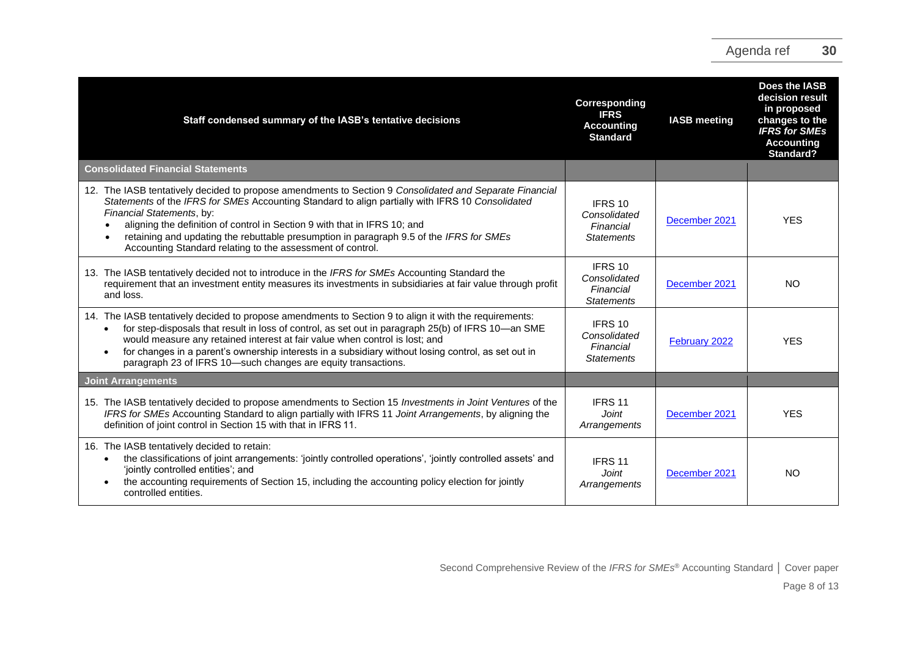| Staff condensed summary of the IASB's tentative decisions                                                                                                                                                                                                                                                                                                                                                                                                                      | Corresponding<br><b>IFRS</b><br><b>Accounting</b><br><b>Standard</b> | <b>IASB</b> meeting | Does the IASB<br>decision result<br>in proposed<br>changes to the<br><b>IFRS for SMEs</b><br><b>Accounting</b><br>Standard? |
|--------------------------------------------------------------------------------------------------------------------------------------------------------------------------------------------------------------------------------------------------------------------------------------------------------------------------------------------------------------------------------------------------------------------------------------------------------------------------------|----------------------------------------------------------------------|---------------------|-----------------------------------------------------------------------------------------------------------------------------|
| <b>Consolidated Financial Statements</b>                                                                                                                                                                                                                                                                                                                                                                                                                                       |                                                                      |                     |                                                                                                                             |
| 12. The IASB tentatively decided to propose amendments to Section 9 Consolidated and Separate Financial<br>Statements of the IFRS for SMEs Accounting Standard to align partially with IFRS 10 Consolidated<br>Financial Statements, by:<br>aligning the definition of control in Section 9 with that in IFRS 10; and<br>retaining and updating the rebuttable presumption in paragraph 9.5 of the IFRS for SMEs<br>Accounting Standard relating to the assessment of control. | IFRS 10<br>Consolidated<br>Financial<br><b>Statements</b>            | December 2021       | <b>YES</b>                                                                                                                  |
| 13. The IASB tentatively decided not to introduce in the IFRS for SMEs Accounting Standard the<br>requirement that an investment entity measures its investments in subsidiaries at fair value through profit<br>and loss.                                                                                                                                                                                                                                                     | IFRS 10<br>Consolidated<br>Financial<br><b>Statements</b>            | December 2021       | <b>NO</b>                                                                                                                   |
| 14. The IASB tentatively decided to propose amendments to Section 9 to align it with the requirements:<br>for step-disposals that result in loss of control, as set out in paragraph 25(b) of IFRS 10-an SME<br>would measure any retained interest at fair value when control is lost; and<br>for changes in a parent's ownership interests in a subsidiary without losing control, as set out in<br>paragraph 23 of IFRS 10-such changes are equity transactions.            | IFRS 10<br>Consolidated<br>Financial<br><b>Statements</b>            | February 2022       | <b>YES</b>                                                                                                                  |
| <b>Joint Arrangements</b>                                                                                                                                                                                                                                                                                                                                                                                                                                                      |                                                                      |                     |                                                                                                                             |
| 15. The IASB tentatively decided to propose amendments to Section 15 Investments in Joint Ventures of the<br>IFRS for SMEs Accounting Standard to align partially with IFRS 11 Joint Arrangements, by aligning the<br>definition of joint control in Section 15 with that in IFRS 11.                                                                                                                                                                                          | IFRS 11<br>Joint.<br>Arrangements                                    | December 2021       | <b>YES</b>                                                                                                                  |
| 16. The IASB tentatively decided to retain:<br>the classifications of joint arrangements: 'jointly controlled operations', 'jointly controlled assets' and<br>'jointly controlled entities'; and<br>the accounting requirements of Section 15, including the accounting policy election for jointly<br>controlled entities.                                                                                                                                                    | IFRS 11<br>Joint<br>Arrangements                                     | December 2021       | NO                                                                                                                          |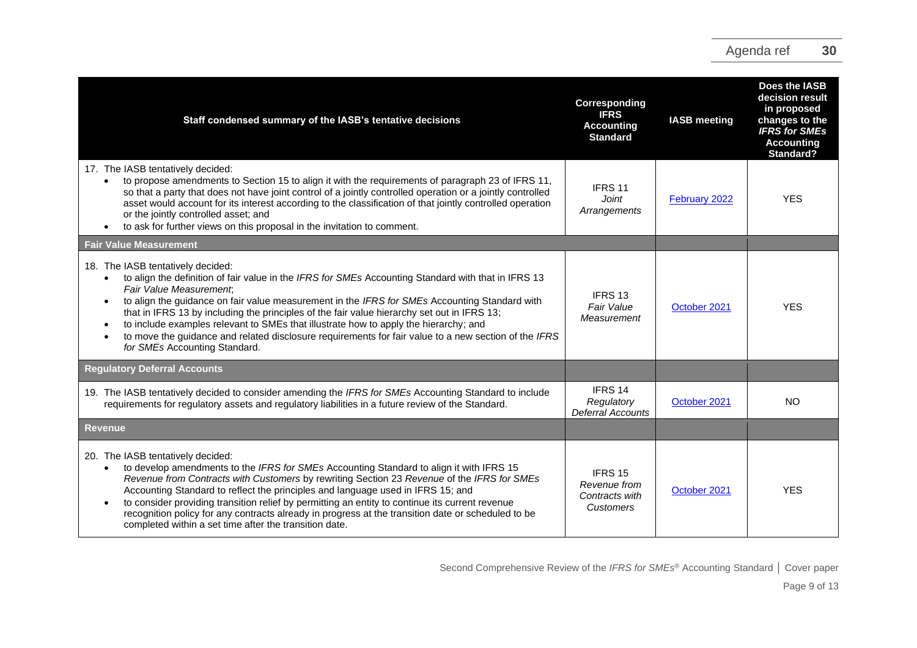| Staff condensed summary of the IASB's tentative decisions                                                                                                                                                                                                                                                                                                                                                                                                                                                                                                                                                                                   | Corresponding<br><b>IFRS</b><br><b>Accounting</b><br><b>Standard</b> | <b>IASB</b> meeting | Does the IASB<br>decision result<br>in proposed<br>changes to the<br><b>IFRS for SMEs</b><br><b>Accounting</b><br><b>Standard?</b> |
|---------------------------------------------------------------------------------------------------------------------------------------------------------------------------------------------------------------------------------------------------------------------------------------------------------------------------------------------------------------------------------------------------------------------------------------------------------------------------------------------------------------------------------------------------------------------------------------------------------------------------------------------|----------------------------------------------------------------------|---------------------|------------------------------------------------------------------------------------------------------------------------------------|
| 17. The IASB tentatively decided:<br>to propose amendments to Section 15 to align it with the requirements of paragraph 23 of IFRS 11,<br>$\bullet$<br>so that a party that does not have joint control of a jointly controlled operation or a jointly controlled<br>asset would account for its interest according to the classification of that jointly controlled operation<br>or the jointly controlled asset; and<br>to ask for further views on this proposal in the invitation to comment.<br>$\bullet$                                                                                                                              | IFRS 11<br>Joint<br>Arrangements                                     | February 2022       | <b>YES</b>                                                                                                                         |
| <b>Fair Value Measurement</b>                                                                                                                                                                                                                                                                                                                                                                                                                                                                                                                                                                                                               |                                                                      |                     |                                                                                                                                    |
| 18. The IASB tentatively decided:<br>to align the definition of fair value in the IFRS for SMEs Accounting Standard with that in IFRS 13<br>$\bullet$<br>Fair Value Measurement;<br>to align the guidance on fair value measurement in the IFRS for SMEs Accounting Standard with<br>$\bullet$<br>that in IFRS 13 by including the principles of the fair value hierarchy set out in IFRS 13;<br>to include examples relevant to SMEs that illustrate how to apply the hierarchy; and<br>$\bullet$<br>to move the guidance and related disclosure requirements for fair value to a new section of the IFRS<br>for SMEs Accounting Standard. | IFRS <sub>13</sub><br>Fair Value<br>Measurement                      | October 2021        | <b>YES</b>                                                                                                                         |
| <b>Regulatory Deferral Accounts</b>                                                                                                                                                                                                                                                                                                                                                                                                                                                                                                                                                                                                         |                                                                      |                     |                                                                                                                                    |
| 19. The IASB tentatively decided to consider amending the IFRS for SMEs Accounting Standard to include<br>requirements for regulatory assets and regulatory liabilities in a future review of the Standard.                                                                                                                                                                                                                                                                                                                                                                                                                                 | IFRS 14<br>Regulatory<br><b>Deferral Accounts</b>                    | October 2021        | <b>NO</b>                                                                                                                          |
| <b>Revenue</b>                                                                                                                                                                                                                                                                                                                                                                                                                                                                                                                                                                                                                              |                                                                      |                     |                                                                                                                                    |
| 20. The IASB tentatively decided:<br>to develop amendments to the IFRS for SMEs Accounting Standard to align it with IFRS 15<br>Revenue from Contracts with Customers by rewriting Section 23 Revenue of the IFRS for SMEs<br>Accounting Standard to reflect the principles and language used in IFRS 15; and<br>to consider providing transition relief by permitting an entity to continue its current revenue<br>recognition policy for any contracts already in progress at the transition date or scheduled to be<br>completed within a set time after the transition date.                                                            | IFRS 15<br>Revenue from<br>Contracts with<br>Customers               | October 2021        | <b>YES</b>                                                                                                                         |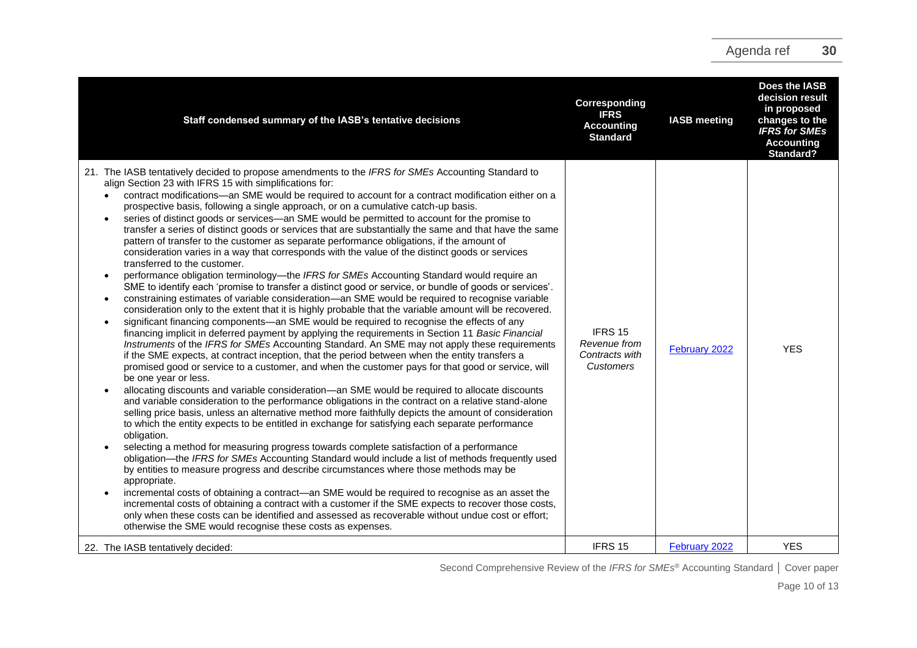| Staff condensed summary of the IASB's tentative decisions                                                                                                                                                                                                                                                                                                                                                                                                                                                                                                                                                                                                                                                                                                                                                                                                                                                                                                                                                                                                                                                                                                                                                                                                                                                                                                                                                                                                                                                                                                                                                                                                                                                                                                                                                                                                                                                                                                                                                                                                                                                                                                                                                                                                                                                                                                                                                                                                                                                                                                                                                                                                                                                                                                                                                                                                                                                                                 | Corresponding<br><b>IFRS</b><br><b>Accounting</b><br><b>Standard</b> | <b>IASB</b> meeting | Does the IASB<br>decision result<br>in proposed<br>changes to the<br><b>IFRS</b> for SMEs<br><b>Accounting</b><br>Standard? |
|-------------------------------------------------------------------------------------------------------------------------------------------------------------------------------------------------------------------------------------------------------------------------------------------------------------------------------------------------------------------------------------------------------------------------------------------------------------------------------------------------------------------------------------------------------------------------------------------------------------------------------------------------------------------------------------------------------------------------------------------------------------------------------------------------------------------------------------------------------------------------------------------------------------------------------------------------------------------------------------------------------------------------------------------------------------------------------------------------------------------------------------------------------------------------------------------------------------------------------------------------------------------------------------------------------------------------------------------------------------------------------------------------------------------------------------------------------------------------------------------------------------------------------------------------------------------------------------------------------------------------------------------------------------------------------------------------------------------------------------------------------------------------------------------------------------------------------------------------------------------------------------------------------------------------------------------------------------------------------------------------------------------------------------------------------------------------------------------------------------------------------------------------------------------------------------------------------------------------------------------------------------------------------------------------------------------------------------------------------------------------------------------------------------------------------------------------------------------------------------------------------------------------------------------------------------------------------------------------------------------------------------------------------------------------------------------------------------------------------------------------------------------------------------------------------------------------------------------------------------------------------------------------------------------------------------------|----------------------------------------------------------------------|---------------------|-----------------------------------------------------------------------------------------------------------------------------|
| 21. The IASB tentatively decided to propose amendments to the IFRS for SMEs Accounting Standard to<br>align Section 23 with IFRS 15 with simplifications for:<br>contract modifications-an SME would be required to account for a contract modification either on a<br>$\bullet$<br>prospective basis, following a single approach, or on a cumulative catch-up basis.<br>series of distinct goods or services—an SME would be permitted to account for the promise to<br>$\bullet$<br>transfer a series of distinct goods or services that are substantially the same and that have the same<br>pattern of transfer to the customer as separate performance obligations, if the amount of<br>consideration varies in a way that corresponds with the value of the distinct goods or services<br>transferred to the customer.<br>performance obligation terminology-the IFRS for SMEs Accounting Standard would require an<br>SME to identify each 'promise to transfer a distinct good or service, or bundle of goods or services'.<br>constraining estimates of variable consideration—an SME would be required to recognise variable<br>$\bullet$<br>consideration only to the extent that it is highly probable that the variable amount will be recovered.<br>significant financing components—an SME would be required to recognise the effects of any<br>$\bullet$<br>financing implicit in deferred payment by applying the requirements in Section 11 Basic Financial<br>Instruments of the IFRS for SMEs Accounting Standard. An SME may not apply these requirements<br>if the SME expects, at contract inception, that the period between when the entity transfers a<br>promised good or service to a customer, and when the customer pays for that good or service, will<br>be one year or less.<br>allocating discounts and variable consideration-an SME would be required to allocate discounts<br>and variable consideration to the performance obligations in the contract on a relative stand-alone<br>selling price basis, unless an alternative method more faithfully depicts the amount of consideration<br>to which the entity expects to be entitled in exchange for satisfying each separate performance<br>obligation.<br>selecting a method for measuring progress towards complete satisfaction of a performance<br>obligation—the IFRS for SMEs Accounting Standard would include a list of methods frequently used<br>by entities to measure progress and describe circumstances where those methods may be<br>appropriate.<br>incremental costs of obtaining a contract—an SME would be required to recognise as an asset the<br>incremental costs of obtaining a contract with a customer if the SME expects to recover those costs,<br>only when these costs can be identified and assessed as recoverable without undue cost or effort;<br>otherwise the SME would recognise these costs as expenses. | IFRS 15<br>Revenue from<br>Contracts with<br>Customers               | February 2022       | <b>YES</b>                                                                                                                  |
| 22. The IASB tentatively decided:                                                                                                                                                                                                                                                                                                                                                                                                                                                                                                                                                                                                                                                                                                                                                                                                                                                                                                                                                                                                                                                                                                                                                                                                                                                                                                                                                                                                                                                                                                                                                                                                                                                                                                                                                                                                                                                                                                                                                                                                                                                                                                                                                                                                                                                                                                                                                                                                                                                                                                                                                                                                                                                                                                                                                                                                                                                                                                         | IFRS 15                                                              | February 2022       | <b>YES</b>                                                                                                                  |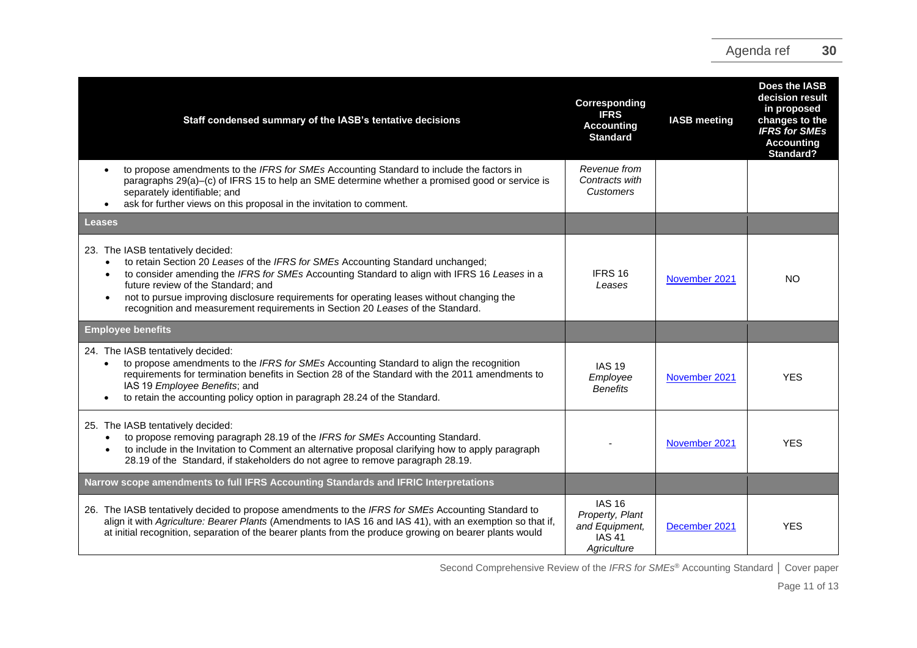| Staff condensed summary of the IASB's tentative decisions                                                                                                                                                                                                                                                                                                                                                                                                           | Corresponding<br><b>IFRS</b><br><b>Accounting</b><br><b>Standard</b>               | <b>IASB</b> meeting | Does the IASB<br>decision result<br>in proposed<br>changes to the<br><b>IFRS for SMEs</b><br><b>Accounting</b><br><b>Standard?</b> |
|---------------------------------------------------------------------------------------------------------------------------------------------------------------------------------------------------------------------------------------------------------------------------------------------------------------------------------------------------------------------------------------------------------------------------------------------------------------------|------------------------------------------------------------------------------------|---------------------|------------------------------------------------------------------------------------------------------------------------------------|
| to propose amendments to the IFRS for SMEs Accounting Standard to include the factors in<br>$\bullet$<br>paragraphs 29(a)–(c) of IFRS 15 to help an SME determine whether a promised good or service is<br>separately identifiable; and<br>ask for further views on this proposal in the invitation to comment.                                                                                                                                                     | Revenue from<br>Contracts with<br><b>Customers</b>                                 |                     |                                                                                                                                    |
| Leases                                                                                                                                                                                                                                                                                                                                                                                                                                                              |                                                                                    |                     |                                                                                                                                    |
| 23. The IASB tentatively decided:<br>to retain Section 20 Leases of the IFRS for SMEs Accounting Standard unchanged;<br>$\bullet$<br>to consider amending the IFRS for SMEs Accounting Standard to align with IFRS 16 Leases in a<br>future review of the Standard; and<br>not to pursue improving disclosure requirements for operating leases without changing the<br>$\bullet$<br>recognition and measurement requirements in Section 20 Leases of the Standard. | IFRS 16<br>Leases                                                                  | November 2021       | <b>NO</b>                                                                                                                          |
| <b>Employee benefits</b>                                                                                                                                                                                                                                                                                                                                                                                                                                            |                                                                                    |                     |                                                                                                                                    |
| 24. The IASB tentatively decided:<br>to propose amendments to the IFRS for SMEs Accounting Standard to align the recognition<br>$\bullet$<br>requirements for termination benefits in Section 28 of the Standard with the 2011 amendments to<br>IAS 19 Employee Benefits; and<br>to retain the accounting policy option in paragraph 28.24 of the Standard.                                                                                                         | <b>IAS 19</b><br>Employee<br><b>Benefits</b>                                       | November 2021       | <b>YES</b>                                                                                                                         |
| 25. The IASB tentatively decided:<br>to propose removing paragraph 28.19 of the IFRS for SMEs Accounting Standard.<br>$\bullet$<br>to include in the Invitation to Comment an alternative proposal clarifying how to apply paragraph<br>$\bullet$<br>28.19 of the Standard, if stakeholders do not agree to remove paragraph 28.19.                                                                                                                                 |                                                                                    | November 2021       | <b>YES</b>                                                                                                                         |
| Narrow scope amendments to full IFRS Accounting Standards and IFRIC Interpretations                                                                                                                                                                                                                                                                                                                                                                                 |                                                                                    |                     |                                                                                                                                    |
| 26. The IASB tentatively decided to propose amendments to the IFRS for SMEs Accounting Standard to<br>align it with Agriculture: Bearer Plants (Amendments to IAS 16 and IAS 41), with an exemption so that if,<br>at initial recognition, separation of the bearer plants from the produce growing on bearer plants would                                                                                                                                          | <b>IAS 16</b><br>Property, Plant<br>and Equipment,<br><b>IAS 41</b><br>Aariculture | December 2021       | <b>YES</b>                                                                                                                         |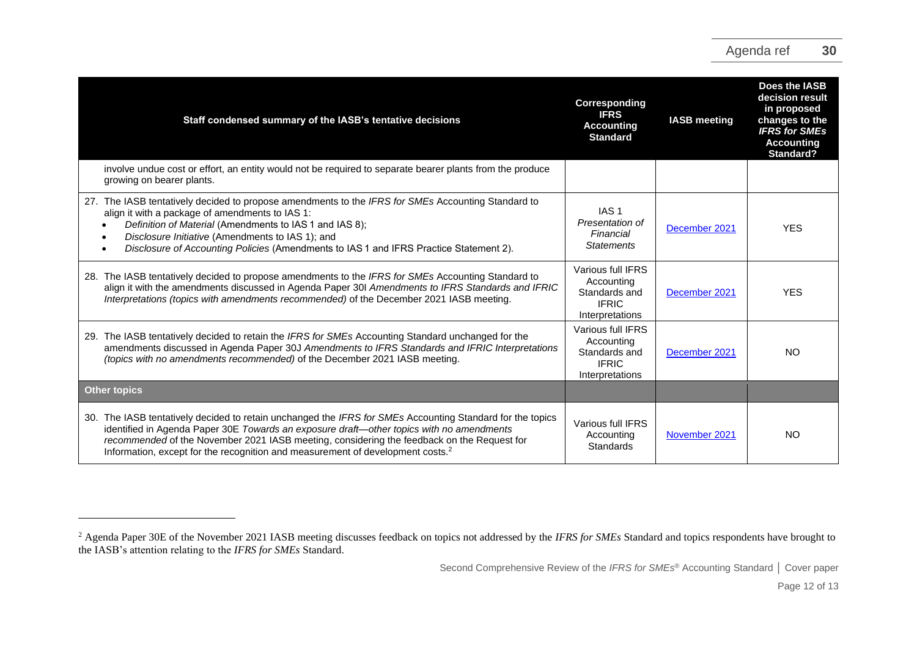| Staff condensed summary of the IASB's tentative decisions                                                                                                                                                                                                                                                                                                                                         | Corresponding<br><b>IFRS</b><br><b>Accounting</b><br><b>Standard</b>                | <b>IASB meeting</b> | Does the IASB<br>decision result<br>in proposed<br>changes to the<br><b>IFRS</b> for SMEs<br><b>Accounting</b><br>Standard? |
|---------------------------------------------------------------------------------------------------------------------------------------------------------------------------------------------------------------------------------------------------------------------------------------------------------------------------------------------------------------------------------------------------|-------------------------------------------------------------------------------------|---------------------|-----------------------------------------------------------------------------------------------------------------------------|
| involve undue cost or effort, an entity would not be required to separate bearer plants from the produce<br>growing on bearer plants.                                                                                                                                                                                                                                                             |                                                                                     |                     |                                                                                                                             |
| 27. The IASB tentatively decided to propose amendments to the IFRS for SMEs Accounting Standard to<br>align it with a package of amendments to IAS 1:<br>Definition of Material (Amendments to IAS 1 and IAS 8);<br>Disclosure Initiative (Amendments to IAS 1); and<br>Disclosure of Accounting Policies (Amendments to IAS 1 and IFRS Practice Statement 2).                                    | IAS <sub>1</sub><br>Presentation of<br>Financial<br><b>Statements</b>               | December 2021       | <b>YES</b>                                                                                                                  |
| 28. The IASB tentatively decided to propose amendments to the IFRS for SMEs Accounting Standard to<br>align it with the amendments discussed in Agenda Paper 30I Amendments to IFRS Standards and IFRIC<br>Interpretations (topics with amendments recommended) of the December 2021 IASB meeting.                                                                                                | Various full IFRS<br>Accounting<br>Standards and<br><b>IFRIC</b><br>Interpretations | December 2021       | <b>YES</b>                                                                                                                  |
| The IASB tentatively decided to retain the IFRS for SMEs Accounting Standard unchanged for the<br>29.<br>amendments discussed in Agenda Paper 30J Amendments to IFRS Standards and IFRIC Interpretations<br>(topics with no amendments recommended) of the December 2021 IASB meeting.                                                                                                            | Various full IFRS<br>Accounting<br>Standards and<br><b>IFRIC</b><br>Interpretations | December 2021       | NO                                                                                                                          |
| <b>Other topics</b>                                                                                                                                                                                                                                                                                                                                                                               |                                                                                     |                     |                                                                                                                             |
| 30. The IASB tentatively decided to retain unchanged the IFRS for SMEs Accounting Standard for the topics<br>identified in Agenda Paper 30E Towards an exposure draft-other topics with no amendments<br>recommended of the November 2021 IASB meeting, considering the feedback on the Request for<br>Information, except for the recognition and measurement of development costs. <sup>2</sup> | Various full IFRS<br>Accounting<br>Standards                                        | November 2021       | NO                                                                                                                          |

<sup>&</sup>lt;sup>2</sup> Agenda Paper 30E of the November 2021 IASB meeting discusses feedback on topics not addressed by the *IFRS for SMEs* Standard and topics respondents have brought to the IASB's attention relating to the *IFRS for SMEs* Standard.